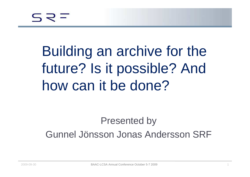Building an archive for the future? Is it possible? And how can it be done?

Presented by Gunnel Jönsson Jonas Andersson SRF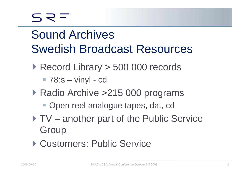$577$ 

### Sound Archives Swedish Broadcast Resources

- ▶ Record Library > 500 000 records
	- 78:s vinyl cd
- ▶ Radio Archive >215 000 programs
	- **Open reel analogue tapes, dat, cd**
- TV another part of the Public Service **Group**
- Customers: Public Service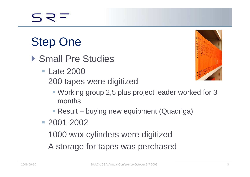## Step One

- Small Pre Studies
	- Late 2000 200 tapes were digitized



- Working group 2,5 plus project leader worked for 3 months
- Result buying new equipment (Quadriga)
- 2001-2002

1000 wax cylinders were digitized

A storage for tapes was perchased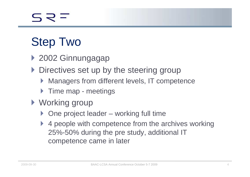# Step Two

- 2002 Ginnungagap
- **Directives set up by the steering group** 
	- $\blacktriangleright$ Managers from different levels, IT competence
	- ▶ Time map meetings
- ▶ Working group
	- ▶ One project leader working full time
	- $\blacktriangleright$  4 people with competence from the archives working 25%-50% during the pre study, additional IT competence came in later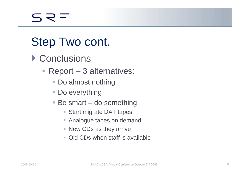### Step Two cont.

- ▶ Conclusions
	- Report 3 alternatives:
		- Do almost nothing
		- Do everything
		- Be smart do <u>something</u>
			- Start migrate DAT tapes
			- Analogue tapes on demand
			- New CDs as they arrive
			- Old CDs when staff is available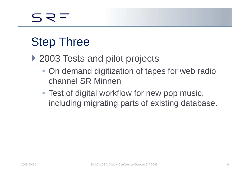### Step Three

- ▶ 2003 Tests and pilot projects
	- **On demand digitization of tapes for web radio** channel SR Minnen
	- **Test of digital workflow for new pop music,** including migrating parts of existing database.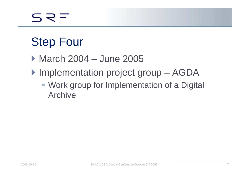# Step Four

- March 2004 June 2005
- ▶ Implementation project group AGDA
	- **Work group for Implementation of a Digital** Archive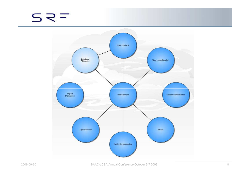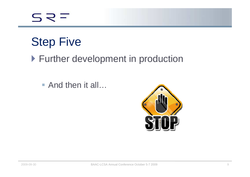$S \supseteq \equiv$ 

## Step Five

#### ▶ Further development in production

■ And then it all…

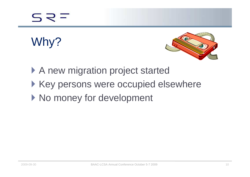# Why?



- A new migration project started
- ▶ Key persons were occupied elsewhere
- ▶ No money for development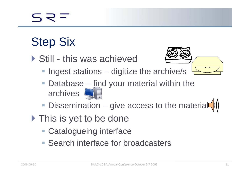# Step Six

▶ Still - this was achieved



- **Ingest stations digitize the archive/s**
- Database find your material within the archives
- **Dissemination give access to the material**
- ▶ This is yet to be done
	- Catalogueing interface
	- **Search interface for broadcasters**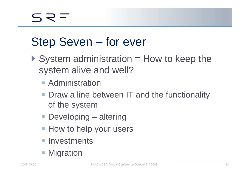#### Step Seven – for ever

- $\triangleright$  System administration = How to keep the system alive and well?
	- **Administration**
	- **Draw a line between IT and the functionality** of the system
	- Developing altering
	- How to help your users
	- **Investments**
	- **Migration**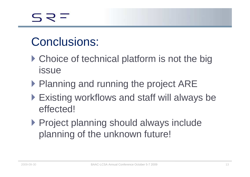#### Conclusions:

- ▶ Choice of technical platform is not the big issue
- ▶ Planning and running the project ARE
- Existing workflows and staff will always be effected!
- **Project planning should always include** planning of the unknown future!